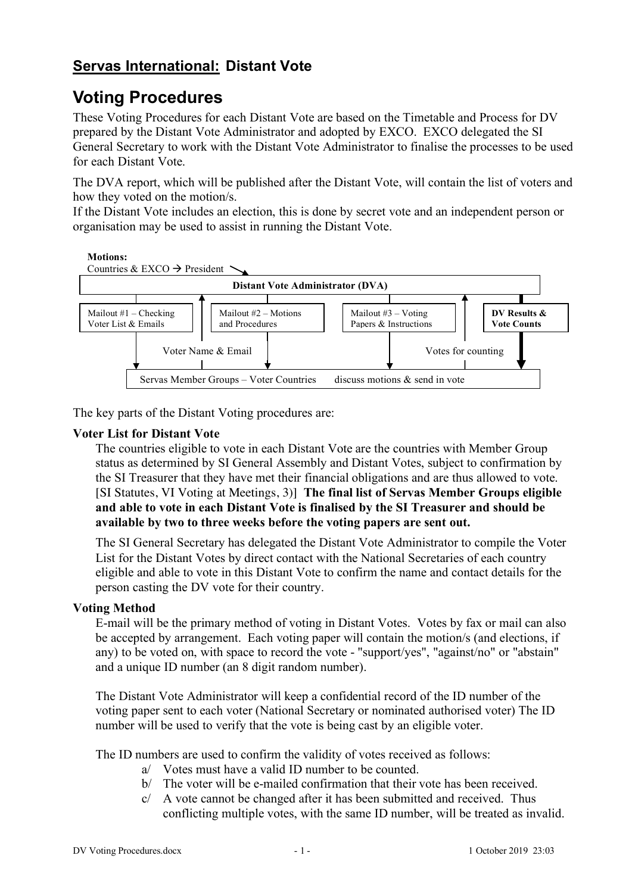# **Servas International: Distant Vote**

# **Voting Procedures**

These Voting Procedures for each Distant Vote are based on the Timetable and Process for DV prepared by the Distant Vote Administrator and adopted by EXCO. EXCO delegated the SI General Secretary to work with the Distant Vote Administrator to finalise the processes to be used for each Distant Vote.

The DVA report, which will be published after the Distant Vote, will contain the list of voters and how they voted on the motion/s.

If the Distant Vote includes an election, this is done by secret vote and an independent person or organisation may be used to assist in running the Distant Vote.



The key parts of the Distant Voting procedures are:

## **Voter List for Distant Vote**

Moviene Suntries eligible to vote in each Distant Vote are the countries with Member Group status as determined by SI General Assembly and Distant Votes, subject to confirmation by the SI Treasurer that they have met the *Administrator Grigations* and are thus allowed to vote. [SI Statutes, VI Voting at Meetings, 3)] **The final list of Servas Member Groups eligible**  Mailout #1 – Comprobación<br>de **probabble to de Cach Distant World is finalised by the SI Treasurer and should be**<br>de **probabble to de cach Distant World is finalised by the SI Treasurer and should be** el**available** by two to three weeks before the voting papers are sent out. del votante y lista de correos Mailout #2 – Mociones y Procedimientos Mailout #3 – Votar Documentos e **DV Resultados y Escrutinios**

The SI General Secretary has dellegated the Distant Vote Administrator to compile the Voter List for the Distant Votes by direct contact with the National Secretaries of each country eligible and able to vote in this Distant Vote to confirm the name and enviated details for the person casting the DV vote for their country.

## **Voting Method**

E-mail will be the primary method of voting in Distant Votes. Votes by fax or mail can also be accepted by arrangement. Each voting paper will contain the motion/s (and elections, if any) to be voted on, with space to record the vote - "support/yes", "against/no" or "abstain" and a unique ID number (an 8 digit random number).

The Distant Vote Administrator will keep a confidential record of the ID number of the voting paper sent to each voter (National Secretary or nominated authorised voter) The ID number will be used to verify that the vote is being cast by an eligible voter.

The ID numbers are used to confirm the validity of votes received as follows:

- a/ Votes must have a valid ID number to be counted.
- b/ The voter will be e-mailed confirmation that their vote has been received.
- c/ A vote cannot be changed after it has been submitted and received. Thus conflicting multiple votes, with the same ID number, will be treated as invalid.